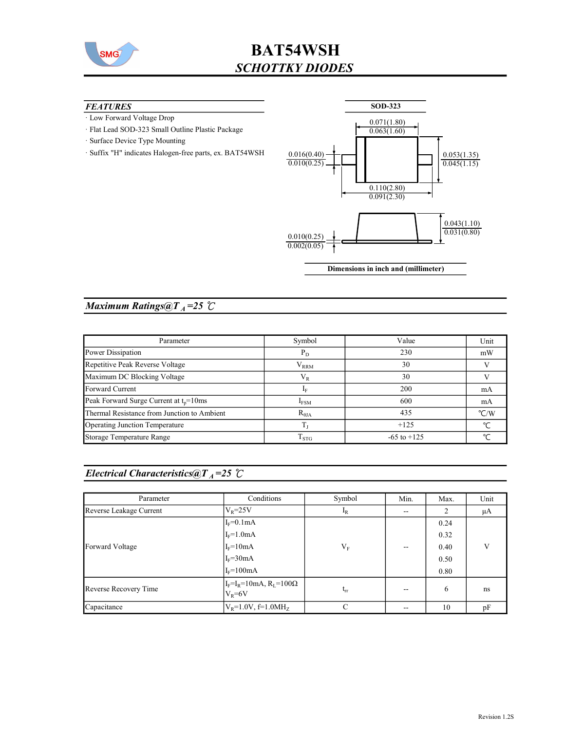

# BAT54WSH SCHOTTKY DIODES

#### **FEATURES**

- · Low Forward Voltage Drop
- · Flat Lead SOD-323 Small Outline Plastic Package
- · Surface Device Type Mounting
- · Suffix "H" indicates Halogen-free parts, ex. BAT54WSH



### Maximum Ratings@ $T_A = 25$  °C

| Parameter                                   | Symbol              | Value           | Unit               |
|---------------------------------------------|---------------------|-----------------|--------------------|
| Power Dissipation                           | $P_D$               | 230             | mW                 |
| Repetitive Peak Reverse Voltage             | ${\rm V}_{\rm RRM}$ | 30              |                    |
| Maximum DC Blocking Voltage                 | $V_{R}$             | 30              |                    |
| Forward Current                             | 1 <sub>F</sub>      | 200             | mA                 |
| Peak Forward Surge Current at $t_p = 10$ ms | $I_{FSM}$           | 600             | mA                 |
| Thermal Resistance from Junction to Ambient | $R_{\theta JA}$     | 435             | $\rm ^{\circ}$ C/W |
| Operating Junction Temperature              |                     | $+125$          | $\sim$             |
| Storage Temperature Range                   | $\rm T_{STG}$       | $-65$ to $+125$ | $\sim$             |

|  | <i>Electrical Characteristics</i> $@T_A=25$ $C$ |  |
|--|-------------------------------------------------|--|
|--|-------------------------------------------------|--|

| Parameter               | Conditions                                           | Symbol   | Min.  | Max. | Unit |
|-------------------------|------------------------------------------------------|----------|-------|------|------|
| Reverse Leakage Current | $V_R = 25V$                                          | $I_R$    | $-$   | 2    | μA   |
|                         | $I_F=0.1mA$                                          |          |       | 0.24 |      |
|                         | $I_F=1.0mA$                                          |          |       | 0.32 |      |
| Forward Voltage         | $I_F = 10mA$                                         | $V_F$    | $- -$ | 0.40 | V    |
|                         | $IF=30mA$                                            |          |       | 0.50 |      |
|                         | $I_F = 100mA$                                        |          |       | 0.80 |      |
| Reverse Recovery Time   | $I_F = I_R = 10mA$ , $R_L = 100\Omega$<br>$V_R = 6V$ | $t_{rr}$ | $- -$ | 6    | ns   |
| Capacitance             | $V_R = 1.0V$ , f=1.0MH <sub>z</sub>                  | С        | $- -$ | 10   | pF   |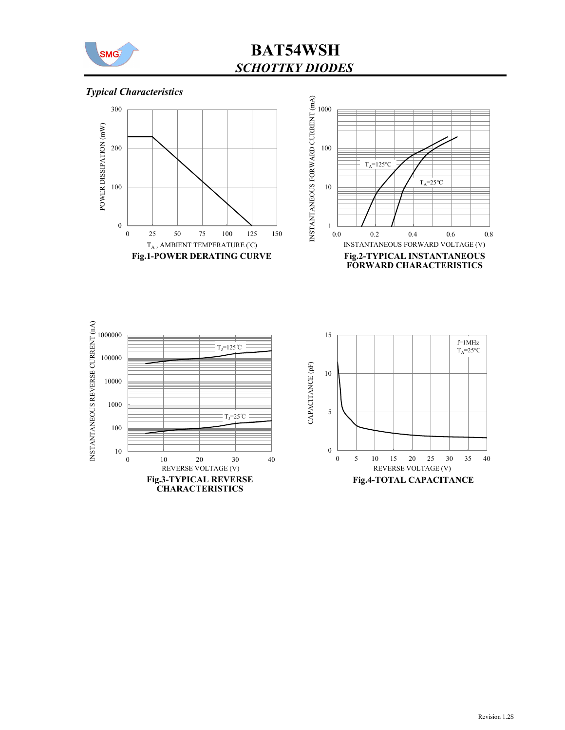

BAT54WSH SCHOTTKY DIODES

## Typical Characteristics







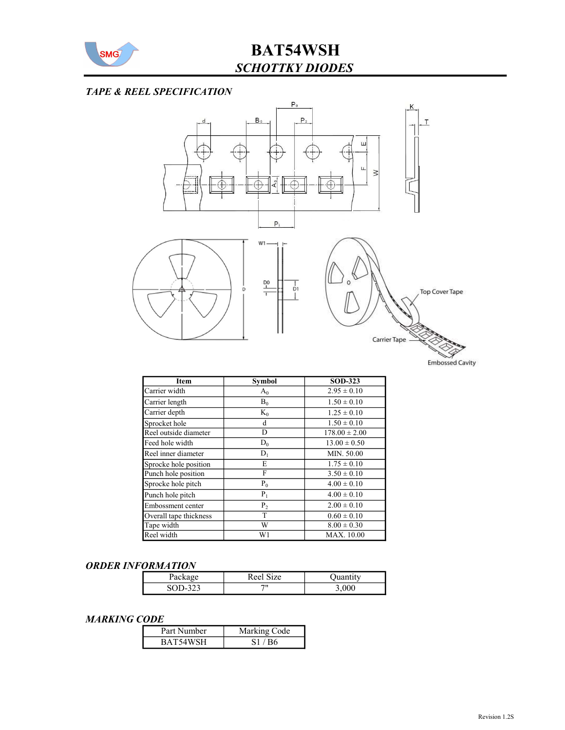

# BAT54WSH SCHOTTKY DIODES

#### TAPE & REEL SPECIFICATION



| <b>Item</b>            | <b>Symbol</b>  | <b>SOD-323</b>    |
|------------------------|----------------|-------------------|
| Carrier width          | $A_0$          | $2.95 \pm 0.10$   |
| Carrier length         | $B_0$          | $1.50 \pm 0.10$   |
| Carrier depth          | $K_0$          | $1.25 \pm 0.10$   |
| Sprocket hole          | d              | $1.50 \pm 0.10$   |
| Reel outside diameter  | D              | $178.00 \pm 2.00$ |
| Feed hole width        | $D_0$          | $13.00 \pm 0.50$  |
| Reel inner diameter    | $D_1$          | MIN. 50.00        |
| Sprocke hole position  | E              | $1.75 \pm 0.10$   |
| Punch hole position    | F              | $3.50 \pm 0.10$   |
| Sprocke hole pitch     | $P_0$          | $4.00 \pm 0.10$   |
| Punch hole pitch       | $P_1$          | $4.00 \pm 0.10$   |
| Embossment center      | P <sub>2</sub> | $2.00 \pm 0.10$   |
| Overall tape thickness | T              | $0.60 \pm 0.10$   |
| Tape width             | W              | $8.00 \pm 0.30$   |
| Reel width             | W1             | <b>MAX.</b> 10.00 |

#### ORDER INFORMATION

| - ackay | $\sim$<br>1Ze<br>K ee |       |
|---------|-----------------------|-------|
| رے      | 711                   | 3,000 |

#### MARKING CODE

| Part Number | Marking Code |
|-------------|--------------|
| BAT54WSH    | S1/BA        |